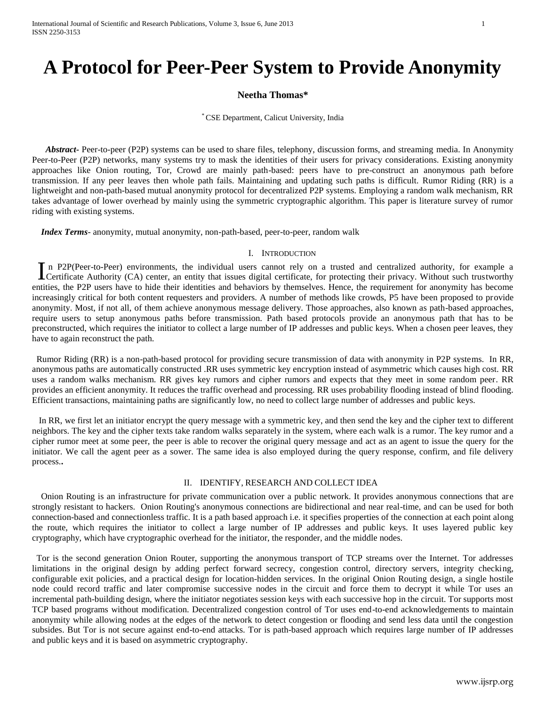# **A Protocol for Peer-Peer System to Provide Anonymity**

## **Neetha Thomas\***

### \* CSE Department, Calicut University, India

 *Abstract***-** Peer-to-peer (P2P) systems can be used to share files, telephony, discussion forms, and streaming media. In Anonymity Peer-to-Peer (P2P) networks, many systems try to mask the identities of their users for privacy considerations. Existing anonymity approaches like Onion routing, Tor, Crowd are mainly path-based: peers have to pre-construct an anonymous path before transmission. If any peer leaves then whole path fails. Maintaining and updating such paths is difficult. Rumor Riding (RR) is a lightweight and non-path-based mutual anonymity protocol for decentralized P2P systems. Employing a random walk mechanism, RR takes advantage of lower overhead by mainly using the symmetric cryptographic algorithm. This paper is literature survey of rumor riding with existing systems.

 *Index Terms*- anonymity, mutual anonymity, non-path-based, peer-to-peer, random walk

#### I. INTRODUCTION

n P2P(Peer-to-Peer) environments, the individual users cannot rely on a trusted and centralized authority, for example a In P2P(Peer-to-Peer) environments, the individual users cannot rely on a trusted and centralized authority, for example a Certificate Authority (CA) center, an entity that issues digital certificate, for protecting their p entities, the P2P users have to hide their identities and behaviors by themselves. Hence, the requirement for anonymity has become increasingly critical for both content requesters and providers. A number of methods like crowds, P5 have been proposed to provide anonymity. Most, if not all, of them achieve anonymous message delivery. Those approaches, also known as path-based approaches, require users to setup anonymous paths before transmission. Path based protocols provide an anonymous path that has to be preconstructed, which requires the initiator to collect a large number of IP addresses and public keys. When a chosen peer leaves, they have to again reconstruct the path.

 Rumor Riding (RR) is a non-path-based protocol for providing secure transmission of data with anonymity in P2P systems. In RR, anonymous paths are automatically constructed .RR uses symmetric key encryption instead of asymmetric which causes high cost. RR uses a random walks mechanism. RR gives key rumors and cipher rumors and expects that they meet in some random peer. RR provides an efficient anonymity. It reduces the traffic overhead and processing. RR uses probability flooding instead of blind flooding. Efficient transactions, maintaining paths are significantly low, no need to collect large number of addresses and public keys.

 In RR, we first let an initiator encrypt the query message with a symmetric key, and then send the key and the cipher text to different neighbors. The key and the cipher texts take random walks separately in the system, where each walk is a rumor. The key rumor and a cipher rumor meet at some peer, the peer is able to recover the original query message and act as an agent to issue the query for the initiator. We call the agent peer as a sower. The same idea is also employed during the query response, confirm, and file delivery process.**.** 

#### II. IDENTIFY, RESEARCH AND COLLECT IDEA

 Onion Routing is an infrastructure for private communication over a public network. It provides anonymous connections that are strongly resistant to hackers. Onion Routing's anonymous connections are bidirectional and near real-time, and can be used for both connection-based and connectionless traffic. It is a path based approach i.e. it specifies properties of the connection at each point along the route, which requires the initiator to collect a large number of IP addresses and public keys. It uses layered public key cryptography, which have cryptographic overhead for the initiator, the responder, and the middle nodes.

 Tor is the second generation Onion Router, supporting the anonymous transport of TCP streams over the Internet. Tor addresses limitations in the original design by adding perfect forward secrecy, congestion control, directory servers, integrity checking, configurable exit policies, and a practical design for location-hidden services. In the original Onion Routing design, a single hostile node could record traffic and later compromise successive nodes in the circuit and force them to decrypt it while Tor uses an incremental path-building design, where the initiator negotiates session keys with each successive hop in the circuit. Tor supports most TCP based programs without modification. Decentralized congestion control of Tor uses end-to-end acknowledgements to maintain anonymity while allowing nodes at the edges of the network to detect congestion or flooding and send less data until the congestion subsides. But Tor is not secure against end-to-end attacks. Tor is path-based approach which requires large number of IP addresses and public keys and it is based on asymmetric cryptography.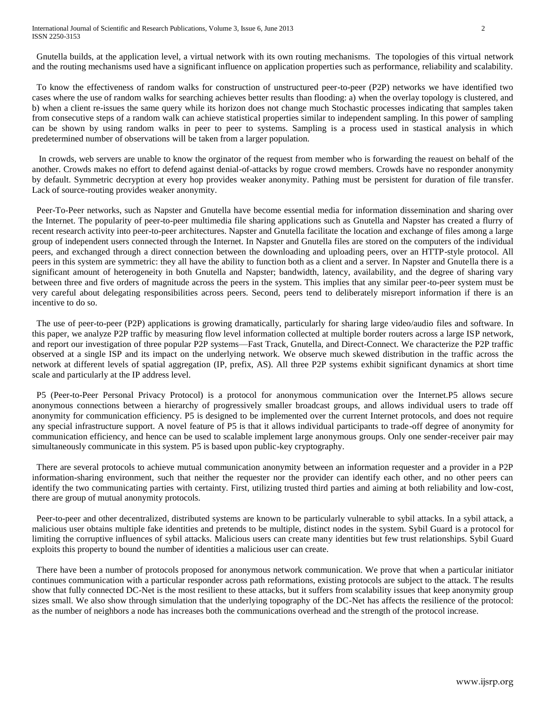International Journal of Scientific and Research Publications, Volume 3, Issue 6, June 2013 2 ISSN 2250-3153

 Gnutella builds, at the application level, a virtual network with its own routing mechanisms. The topologies of this virtual network and the routing mechanisms used have a significant influence on application properties such as performance, reliability and scalability.

 To know the effectiveness of random walks for construction of unstructured peer-to-peer (P2P) networks we have identified two cases where the use of random walks for searching achieves better results than flooding: a) when the overlay topology is clustered, and b) when a client re-issues the same query while its horizon does not change much Stochastic processes indicating that samples taken from consecutive steps of a random walk can achieve statistical properties similar to independent sampling. In this power of sampling can be shown by using random walks in peer to peer to systems. Sampling is a process used in stastical analysis in which predetermined number of observations will be taken from a larger population.

 In crowds, web servers are unable to know the orginator of the request from member who is forwarding the reauest on behalf of the another. Crowds makes no effort to defend against denial-of-attacks by rogue crowd members. Crowds have no responder anonymity by default. Symmetric decryption at every hop provides weaker anonymity. Pathing must be persistent for duration of file transfer. Lack of source-routing provides weaker anonymity.

 Peer-To-Peer networks, such as Napster and Gnutella have become essential media for information dissemination and sharing over the Internet. The popularity of peer-to-peer multimedia file sharing applications such as Gnutella and Napster has created a flurry of recent research activity into peer-to-peer architectures. Napster and Gnutella facilitate the location and exchange of files among a large group of independent users connected through the Internet. In Napster and Gnutella files are stored on the computers of the individual peers, and exchanged through a direct connection between the downloading and uploading peers, over an HTTP-style protocol. All peers in this system are symmetric: they all have the ability to function both as a client and a server. In Napster and Gnutella there is a significant amount of heterogeneity in both Gnutella and Napster; bandwidth, latency, availability, and the degree of sharing vary between three and five orders of magnitude across the peers in the system. This implies that any similar peer-to-peer system must be very careful about delegating responsibilities across peers. Second, peers tend to deliberately misreport information if there is an incentive to do so.

 The use of peer-to-peer (P2P) applications is growing dramatically, particularly for sharing large video/audio files and software. In this paper, we analyze P2P traffic by measuring flow level information collected at multiple border routers across a large ISP network, and report our investigation of three popular P2P systems—Fast Track, Gnutella, and Direct-Connect. We characterize the P2P traffic observed at a single ISP and its impact on the underlying network. We observe much skewed distribution in the traffic across the network at different levels of spatial aggregation (IP, prefix, AS). All three P2P systems exhibit significant dynamics at short time scale and particularly at the IP address level.

 P5 (Peer-to-Peer Personal Privacy Protocol) is a protocol for anonymous communication over the Internet.P5 allows secure anonymous connections between a hierarchy of progressively smaller broadcast groups, and allows individual users to trade off anonymity for communication efficiency. P5 is designed to be implemented over the current Internet protocols, and does not require any special infrastructure support. A novel feature of P5 is that it allows individual participants to trade-off degree of anonymity for communication efficiency, and hence can be used to scalable implement large anonymous groups. Only one sender-receiver pair may simultaneously communicate in this system. P5 is based upon public-key cryptography.

 There are several protocols to achieve mutual communication anonymity between an information requester and a provider in a P2P information-sharing environment, such that neither the requester nor the provider can identify each other, and no other peers can identify the two communicating parties with certainty. First, utilizing trusted third parties and aiming at both reliability and low-cost, there are group of mutual anonymity protocols.

 Peer-to-peer and other decentralized, distributed systems are known to be particularly vulnerable to sybil attacks. In a sybil attack, a malicious user obtains multiple fake identities and pretends to be multiple, distinct nodes in the system. Sybil Guard is a protocol for limiting the corruptive influences of sybil attacks. Malicious users can create many identities but few trust relationships. Sybil Guard exploits this property to bound the number of identities a malicious user can create.

 There have been a number of protocols proposed for anonymous network communication. We prove that when a particular initiator continues communication with a particular responder across path reformations, existing protocols are subject to the attack. The results show that fully connected DC-Net is the most resilient to these attacks, but it suffers from scalability issues that keep anonymity group sizes small. We also show through simulation that the underlying topography of the DC-Net has affects the resilience of the protocol: as the number of neighbors a node has increases both the communications overhead and the strength of the protocol increase.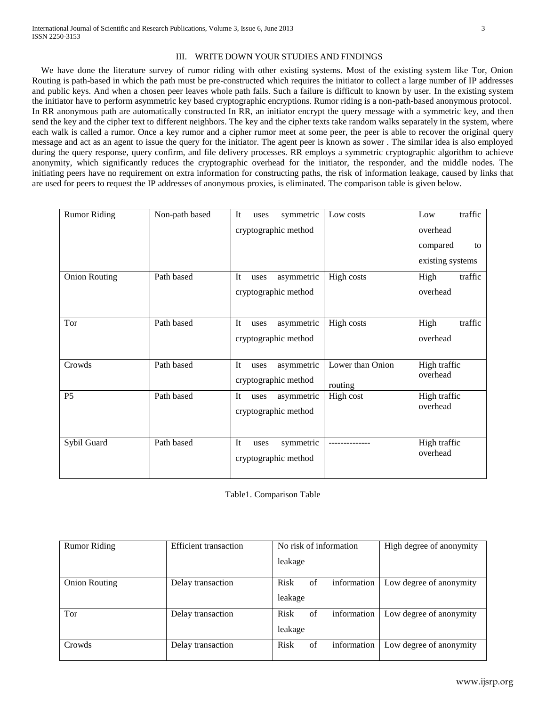We have done the literature survey of rumor riding with other existing systems. Most of the existing system like Tor, Onion Routing is path-based in which the path must be pre-constructed which requires the initiator to collect a large number of IP addresses and public keys. And when a chosen peer leaves whole path fails. Such a failure is difficult to known by user. In the existing system the initiator have to perform asymmetric key based cryptographic encryptions. Rumor riding is a non-path-based anonymous protocol. In RR anonymous path are automatically constructed In RR, an initiator encrypt the query message with a symmetric key, and then send the key and the cipher text to different neighbors. The key and the cipher texts take random walks separately in the system, where each walk is called a rumor. Once a key rumor and a cipher rumor meet at some peer, the peer is able to recover the original query message and act as an agent to issue the query for the initiator. The agent peer is known as sower . The similar idea is also employed during the query response, query confirm, and file delivery processes. RR employs a symmetric cryptographic algorithm to achieve anonymity, which significantly reduces the cryptographic overhead for the initiator, the responder, and the middle nodes. The initiating peers have no requirement on extra information for constructing paths, the risk of information leakage, caused by links that are used for peers to request the IP addresses of anonymous proxies, is eliminated. The comparison table is given below.

| <b>Rumor Riding</b>  | Non-path based | It<br>symmetric<br>uses         | Low costs        | traffic<br>Low   |
|----------------------|----------------|---------------------------------|------------------|------------------|
|                      |                | cryptographic method            |                  | overhead         |
|                      |                |                                 |                  | compared<br>to   |
|                      |                |                                 |                  | existing systems |
| <b>Onion Routing</b> | Path based     | It<br>asymmetric<br>uses        | High costs       | High<br>traffic  |
|                      |                | cryptographic method            |                  | overhead         |
|                      |                |                                 |                  |                  |
| Tor                  | Path based     | <b>It</b><br>asymmetric<br>uses | High costs       | High<br>traffic  |
|                      |                | cryptographic method            |                  | overhead         |
|                      |                |                                 |                  |                  |
| Crowds               | Path based     | It<br>asymmetric<br>uses        | Lower than Onion | High traffic     |
|                      |                | cryptographic method            | routing          | overhead         |
| P <sub>5</sub>       | Path based     | It<br>asymmetric<br>uses        | High cost        | High traffic     |
|                      |                | cryptographic method            |                  | overhead         |
|                      |                |                                 |                  |                  |
| Sybil Guard          | Path based     | It<br>symmetric<br>uses         |                  | High traffic     |
|                      |                | cryptographic method            |                  | overhead         |
|                      |                |                                 |                  |                  |

Table1. Comparison Table

| <b>Rumor Riding</b>  | <b>Efficient</b> transaction | No risk of information |    |             | High degree of anonymity |
|----------------------|------------------------------|------------------------|----|-------------|--------------------------|
|                      |                              | leakage                |    |             |                          |
| <b>Onion Routing</b> | Delay transaction            | <b>Risk</b>            | of | information | Low degree of anonymity  |
|                      |                              | leakage                |    |             |                          |
| Tor                  | Delay transaction            | Risk                   | of | information | Low degree of anonymity  |
|                      |                              | leakage                |    |             |                          |
| Crowds               | Delay transaction            | <b>Risk</b>            | of | information | Low degree of anonymity  |
|                      |                              |                        |    |             |                          |